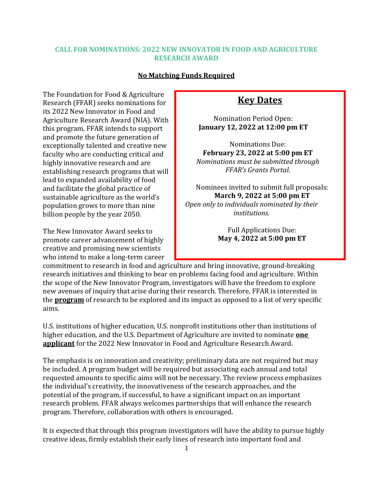### **CALL FOR NOMINATIONS: 2022 NEW INNOVATOR IN FOOD AND AGRICULTURE RESEARCH AWARD**

#### **No Matching Funds Required**

The Foundation for Food & Agriculture Research (FFAR) seeks nominations for its 2022 New Innovator in Food and Agriculture Research Award (NIA). With this program, FFAR intends to support and promote the future generation of exceptionally talented and creative new faculty who are conducting critical and highly innovative research and are establishing research programs that will lead to expanded availability of food and facilitate the global practice of sustainable agriculture as the world's population grows to more than nine billion people by the year 2050.

The New Innovator Award seeks to promote career advancement of highly creative and promising new scientists who intend to make a long-term career

# **Key Dates**

Nomination Period Open: **January 12, 2022 at 12:00 pm ET**

Nominations Due: **February 23, 2022 at 5:00 pm ET**  *Nominations must be submitted through FFAR's Grants Portal.*

Nominees invited to submit full proposals: **March 9, 2022 at 5:00 pm ET** *Open only to individuals nominated by their institutions.*

> Full Applications Due: **May 4, 2022 at 5:00 pm ET**

commitment to research in food and agriculture and bring innovative, ground-breaking research initiatives and thinking to bear on problems facing food and agriculture. Within the scope of the New Innovator Program, investigators will have the freedom to explore new avenues of inquiry that arise during their research. Therefore, FFAR is interested in the **program** of research to be explored and its impact as opposed to a list of very specific aims.

U.S. institutions of higher education, U.S. nonprofit institutions other than institutions of higher education, and the U.S. Department of Agriculture are invited to nominate **one applicant** for the 2022 New Innovator in Food and Agriculture Research Award.

The emphasis is on innovation and creativity; preliminary data are not required but may be included. A program budget will be required but associating each annual and total requested amounts to specific aims will not be necessary. The review process emphasizes the individual's creativity, the innovativeness of the research approaches, and the potential of the program, if successful, to have a significant impact on an important research problem. FFAR always welcomes partnerships that will enhance the research program. Therefore, collaboration with others is encouraged.

It is expected that through this program investigators will have the ability to pursue highly creative ideas, firmly establish their early lines of research into important food and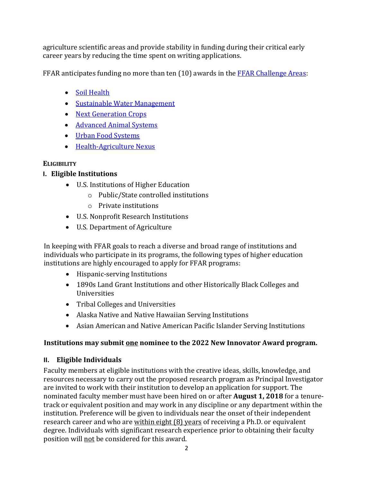agriculture scientific areas and provide stability in funding during their critical early career years by reducing the time spent on writing applications.

FFAR anticipates funding no more than ten (10) awards in the **FFAR Challenge Areas**:

- Soil [Health](https://foundationfar.org/what-we-do/challenge-areas/soil-health/)
- [Sustainable Water](https://foundationfar.org/what-we-do/challenge-areas/sustainable-water-management/) Management
- [Next Generation](https://foundationfar.org/what-we-do/challenge-areas/next-generation-crops/) Crops
- [Advanced Animal](https://foundationfar.org/what-we-do/challenge-areas/advanced-animal-systems/) Systems
- [Urban Food Systems](https://foundationfar.org/what-we-do/challenge-areas/urban-food-systems/)
- [Health-Agriculture](https://foundationfar.org/what-we-do/challenge-areas/health-agriculture-nexus/) Nexus

# **ELIGIBILITY**

# **I. Eligible Institutions**

- U.S. Institutions of Higher Education
	- o Public/State controlled institutions
	- o Private institutions
- U.S. Nonprofit Research Institutions
- U.S. Department of Agriculture

In keeping with FFAR goals to reach a diverse and broad range of institutions and individuals who participate in its programs, the following types of higher education institutions are highly encouraged to apply for FFAR programs:

- Hispanic-serving Institutions
- 1890s Land Grant Institutions and other Historically Black Colleges and Universities
- Tribal Colleges and Universities
- Alaska Native and Native Hawaiian Serving Institutions
- Asian American and Native American Pacific Islander Serving Institutions

# **Institutions may submit one nominee to the 2022 New Innovator Award program.**

# **II. Eligible Individuals**

Faculty members at eligible institutions with the creative ideas, skills, knowledge, and resources necessary to carry out the proposed research program as Principal Investigator are invited to work with their institution to develop an application for support. The nominated faculty member must have been hired on or after **August 1, 2018** for a tenuretrack or equivalent position and may work in any discipline or any department within the institution. Preference will be given to individuals near the onset of their independent research career and who are within eight (8) years of receiving a Ph.D. or equivalent degree. Individuals with significant research experience prior to obtaining their faculty position will not be considered for this award.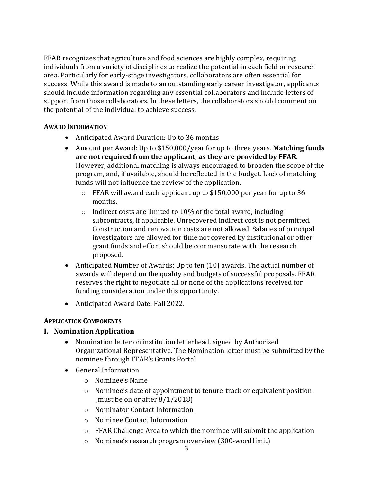FFAR recognizes that agriculture and food sciences are highly complex, requiring individuals from a variety of disciplines to realize the potential in each field or research area. Particularly for early-stage investigators, collaborators are often essential for success. While this award is made to an outstanding early career investigator, applicants should include information regarding any essential collaborators and include letters of support from those collaborators. In these letters, the collaborators should comment on the potential of the individual to achieve success.

### **AWARD INFORMATION**

- Anticipated Award Duration: Up to 36 months
- Amount per Award: Up to \$150,000/year for up to three years. **Matching funds are not required from the applicant, as they are provided by FFAR**. However, additional matching is always encouraged to broaden the scope of the program, and, if available, should be reflected in the budget. Lack of matching funds will not influence the review of the application.
	- o FFAR will award each applicant up to \$150,000 per year for up to 36 months.
	- $\circ$  Indirect costs are limited to 10% of the total award, including subcontracts, if applicable. Unrecovered indirect cost is not permitted. Construction and renovation costs are not allowed. Salaries of principal investigators are allowed for time not covered by institutional or other grant funds and effort should be commensurate with the research proposed.
- Anticipated Number of Awards: Up to ten (10) awards. The actual number of awards will depend on the quality and budgets of successful proposals. FFAR reserves the right to negotiate all or none of the applications received for funding consideration under this opportunity.
- Anticipated Award Date: Fall 2022.

# **APPLICATION COMPONENTS**

# **I. Nomination Application**

- Nomination letter on institution letterhead, signed by Authorized Organizational Representative. The Nomination letter must be submitted by the nominee through FFAR's Grants Portal.
- General Information
	- o Nominee's Name
	- o Nominee's date of appointment to tenure-track or equivalent position (must be on or after 8/1/2018)
	- o Nominator Contact Information
	- o Nominee Contact Information
	- $\circ$  FFAR Challenge Area to which the nominee will submit the application
	- o Nominee's research program overview (300-word limit)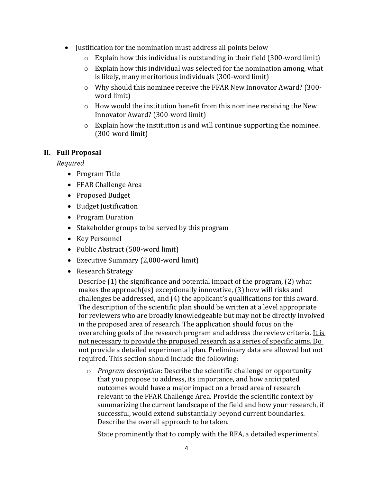- Justification for the nomination must address all points below
	- $\circ$  Explain how this individual is outstanding in their field (300-word limit)
	- $\circ$  Explain how this individual was selected for the nomination among, what is likely, many meritorious individuals (300-word limit)
	- o Why should this nominee receive the FFAR New Innovator Award? (300 word limit)
	- o How would the institution benefit from this nominee receiving the New Innovator Award? (300-word limit)
	- o Explain how the institution is and will continue supporting the nominee. (300-word limit)

# **II. Full Proposal**

*Required*

- Program Title
- FFAR Challenge Area
- Proposed Budget
- Budget Justification
- Program Duration
- Stakeholder groups to be served by this program
- Key Personnel
- Public Abstract (500-word limit)
- Executive Summary (2,000-word limit)
- Research Strategy

Describe (1) the significance and potential impact of the program, (2) what makes the approach(es) exceptionally innovative, (3) how will risks and challenges be addressed, and (4) the applicant's qualifications for this award. The description of the scientific plan should be written at a level appropriate for reviewers who are broadly knowledgeable but may not be directly involved in the proposed area of research. The application should focus on the overarching goals of the research program and address the review criteria. It is not necessary to provide the proposed research as a series of specific aims. Do not provide a detailed experimental plan. Preliminary data are allowed but not required. This section should include the following:

o *Program description*: Describe the scientific challenge or opportunity that you propose to address, its importance, and how anticipated outcomes would have a major impact on a broad area of research relevant to the FFAR Challenge Area. Provide the scientific context by summarizing the current landscape of the field and how your research, if successful, would extend substantially beyond current boundaries. Describe the overall approach to be taken.

State prominently that to comply with the RFA, a detailed experimental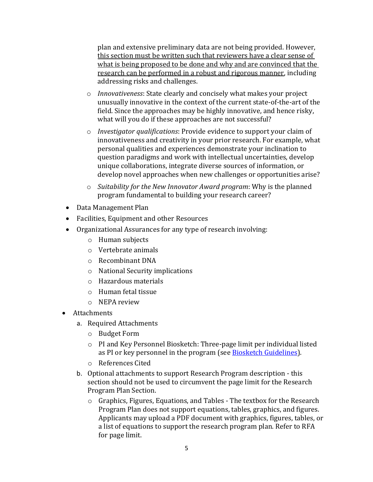plan and extensive preliminary data are not being provided. However, this section must be written such that reviewers have a clear sense of what is being proposed to be done and why and are convinced that the research can be performed in a robust and rigorous manner, including addressing risks and challenges.

- o *Innovativeness*: State clearly and concisely what makes your project unusually innovative in the context of the current state-of-the-art of the field. Since the approaches may be highly innovative, and hence risky, what will you do if these approaches are not successful?
- o *Investigator qualifications*: Provide evidence to support your claim of innovativeness and creativity in your prior research. For example, what personal qualities and experiences demonstrate your inclination to question paradigms and work with intellectual uncertainties, develop unique collaborations, integrate diverse sources of information, or develop novel approaches when new challenges or opportunities arise?
- o *Suitability for the New Innovator Award program*: Why is the planned program fundamental to building your research career?
- Data Management Plan
- Facilities, Equipment and other Resources
- Organizational Assurances for any type of research involving:
	- o Human subjects
	- o Vertebrate animals
	- o Recombinant DNA
	- o National Security implications
	- o Hazardous materials
	- o Human fetal tissue
	- o NEPA review
- **Attachments** 
	- a. Required Attachments
		- o Budget Form
		- o PI and Key Personnel Biosketch: Three-page limit per individual listed as PI or key personnel in the program (see [Biosketch Guidelines\)](https://foundationfar.org/grants-funding/resources/biosketch-guidelines/).
		- o References Cited
	- b. Optional attachments to support Research Program description this section should not be used to circumvent the page limit for the Research Program Plan Section.
		- o Graphics, Figures, Equations, and Tables The textbox for the Research Program Plan does not support equations, tables, graphics, and figures. Applicants may upload a PDF document with graphics, figures, tables, or a list of equations to support the research program plan. Refer to RFA for page limit.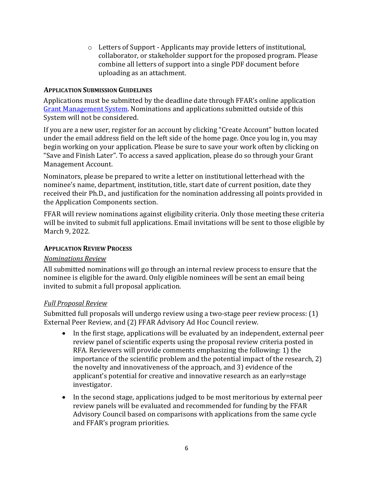o Letters of Support - Applicants may provide letters of institutional, collaborator, or stakeholder support for the proposed program. Please combine all letters of support into a single PDF document before uploading as an attachment.

### **APPLICATION SUBMISSION GUIDELINES**

Applications must be submitted by the deadline date through FFAR's online application [Grant Management](https://www.grantrequest.com/SID_6242) System. Nominations and applications submitted outside of this System will not be considered.

If you are a new user, register for an account by clicking "Create Account" button located under the email address field on the left side of the home page. Once you log in, you may begin working on your application. Please be sure to save your work often by clicking on "Save and Finish Later". To access a saved application, please do so through your Grant Management Account.

Nominators, please be prepared to write a letter on institutional letterhead with the nominee's name, department, institution, title, start date of current position, date they received their Ph.D., and justification for the nomination addressing all points provided in the Application Components section.

FFAR will review nominations against eligibility criteria. Only those meeting these criteria will be invited to submit full applications. Email invitations will be sent to those eligible by March 9, 2022.

### **APPLICATION REVIEW PROCESS**

# *Nominations Review*

All submitted nominations will go through an internal review process to ensure that the nominee is eligible for the award. Only eligible nominees will be sent an email being invited to submit a full proposal application.

# *Full Proposal Review*

Submitted full proposals will undergo review using a two-stage peer review process: (1) External Peer Review, and (2) FFAR Advisory Ad Hoc Council review.

- In the first stage, applications will be evaluated by an independent, external peer review panel of scientific experts using the proposal review criteria posted in RFA. Reviewers will provide comments emphasizing the following: 1) the importance of the scientific problem and the potential impact of the research, 2) the novelty and innovativeness of the approach, and 3) evidence of the applicant's potential for creative and innovative research as an early=stage investigator.
- In the second stage, applications judged to be most meritorious by external peer review panels will be evaluated and recommended for funding by the FFAR Advisory Council based on comparisons with applications from the same cycle and FFAR's program priorities.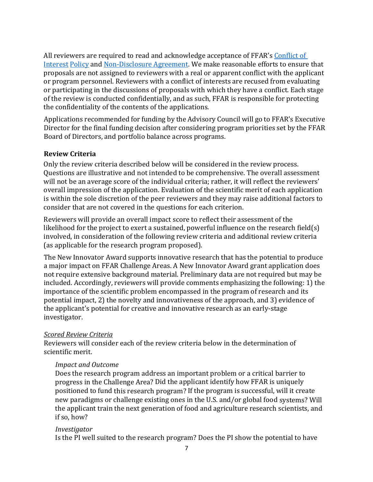All reviewers are required to read and acknowledge acceptance of FFAR's [Conflict of](http://foundationfar.org/grants/reviewer-resources/conflict-of-interest/)  [Interest](http://foundationfar.org/grants/reviewer-resources/conflict-of-interest/) [Policy](http://foundationfar.org/grants/reviewer-resources/conflict-of-interest/) and [Non-Disclosure Agreement.](http://foundationfar.org/grants/reviewer-resources/non-disclosure/) We make reasonable efforts to ensure that proposals are not assigned to reviewers with a real or apparent conflict with the applicant or program personnel. Reviewers with a conflict of interests are recused from evaluating or participating in the discussions of proposals with which they have a conflict. Each stage of the review is conducted confidentially, and as such, FFAR is responsible for protecting the confidentiality of the contents of the applications.

Applications recommended for funding by the Advisory Council will go to FFAR's Executive Director for the final funding decision after considering program priorities set by the FFAR Board of Directors, and portfolio balance across programs.

### **Review Criteria**

Only the review criteria described below will be considered in the review process. Questions are illustrative and not intended to be comprehensive. The overall assessment will not be an average score of the individual criteria; rather, it will reflect the reviewers' overall impression of the application. Evaluation of the scientific merit of each application is within the sole discretion of the peer reviewers and they may raise additional factors to consider that are not covered in the questions for each criterion.

Reviewers will provide an overall impact score to reflect their assessment of the likelihood for the project to exert a sustained, powerful influence on the research field(s) involved, in consideration of the following review criteria and additional review criteria (as applicable for the research program proposed).

The New Innovator Award supports innovative research that has the potential to produce a major impact on FFAR Challenge Areas. A New Innovator Award grant application does not require extensive background material. Preliminary data are not required but may be included. Accordingly, reviewers will provide comments emphasizing the following: 1) the importance of the scientific problem encompassed in the program of research and its potential impact, 2) the novelty and innovativeness of the approach, and 3) evidence of the applicant's potential for creative and innovative research as an early-stage investigator.

#### *Scored Review Criteria*

Reviewers will consider each of the review criteria below in the determination of scientific merit.

#### *Impact and Outcome*

Does the research program address an important problem or a critical barrier to progress in the Challenge Area? [Did the applicant id](https://foundationfar.org/challenge-areas/)entify how FFAR is uniquely positioned to fund this research program? If the program is successful, will it create new paradigms or challenge existing ones in the U.S. and/or global food systems? Will the applicant train the next generation of food and agriculture research scientists, and if so, how?

#### *Investigator*

Is the PI well suited to the research program? Does the PI show the potential to have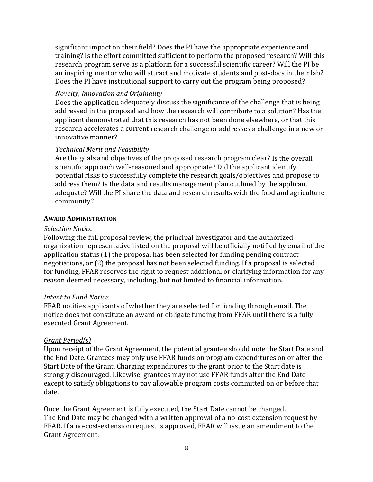significant impact on their field? Does the PI have the appropriate experience and training? Is the effort committed sufficient to perform the proposed research? Will this research program serve as a platform for a successful scientific career? Will the PI be an inspiring mentor who will attract and motivate students and post-docs in their lab? Does the PI have institutional support to carry out the program being proposed?

### *Novelty, Innovation and Originality*

Does the application adequately discuss the significance of the challenge that is being addressed in the proposal and how the research will contribute to a solution? Has the applicant demonstrated that this research has not been done elsewhere, or that this research accelerates a current research challenge or addresses a challenge in a new or innovative manner?

# *Technical Merit and Feasibility*

Are the goals and objectives of the proposed research program clear? Is the overall scientific approach well-reasoned and appropriate? Did the applicant identify potential risks to successfully complete the research goals/objectives and propose to address them? Is the data and results management plan outlined by the applicant adequate? Will the PI share the data and research results with the food and agriculture community?

### **AWARD ADMINISTRATION**

### *Selection Notic*e

Following the full proposal review, the principal investigator and the authorized organization representative listed on the proposal will be officially notified by email of the application status (1) the proposal has been selected for funding pending contract negotiations, or (2) the proposal has not been selected funding. If a proposal is selected for funding, FFAR reserves the right to request additional or clarifying information for any reason deemed necessary, including, but not limited to financial information.

### *Intent to Fund Notice*

FFAR notifies applicants of whether they are selected for funding through email. The notice does not constitute an award or obligate funding from FFAR until there is a fully executed Grant Agreement.

# *Grant Period(s)*

Upon receipt of the Grant Agreement, the potential grantee should note the Start Date and the End Date. Grantees may only use FFAR funds on program expenditures on or after the Start Date of the Grant. Charging expenditures to the grant prior to the Start date is strongly discouraged. Likewise, grantees may not use FFAR funds after the End Date except to satisfy obligations to pay allowable program costs committed on or before that date.

Once the Grant Agreement is fully executed, the Start Date cannot be changed. The End Date may be changed with a written approval of a no-cost extension request by FFAR. If a no-cost-extension request is approved, FFAR will issue an amendment to the Grant Agreement.